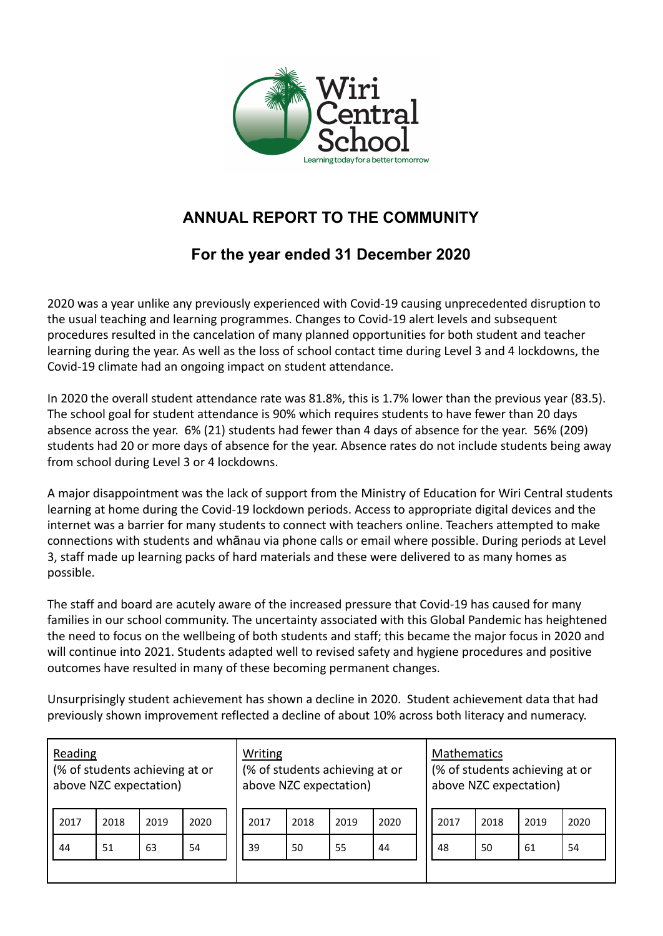

## **ANNUAL REPORT TO THE COMMUNITY**

## **For the year ended 31 December 2020**

2020 was a year unlike any previously experienced with Covid-19 causing unprecedented disruption to the usual teaching and learning programmes. Changes to Covid-19 alert levels and subsequent procedures resulted in the cancelation of many planned opportunities for both student and teacher learning during the year. As well as the loss of school contact time during Level 3 and 4 lockdowns, the Covid-19 climate had an ongoing impact on student attendance.

In 2020 the overall student attendance rate was 81.8%, this is 1.7% lower than the previous year (83.5). The school goal for student attendance is 90% which requires students to have fewer than 20 days absence across the year. 6% (21) students had fewer than 4 days of absence for the year. 56% (209) students had 20 or more days of absence for the year. Absence rates do not include students being away from school during Level 3 or 4 lockdowns.

A major disappointment was the lack of support from the Ministry of Education for Wiri Central students learning at home during the Covid-19 lockdown periods. Access to appropriate digital devices and the internet was a barrier for many students to connect with teachers online. Teachers attempted to make connections with students and whānau via phone calls or email where possible. During periods at Level 3, staff made up learning packs of hard materials and these were delivered to as many homes as possible.

The staff and board are acutely aware of the increased pressure that Covid-19 has caused for many families in our school community. The uncertainty associated with this Global Pandemic has heightened the need to focus on the wellbeing of both students and staff; this became the major focus in 2020 and will continue into 2021. Students adapted well to revised safety and hygiene procedures and positive outcomes have resulted in many of these becoming permanent changes.

Unsurprisingly student achievement has shown a decline in 2020. Student achievement data that had previously shown improvement reflected a decline of about 10% across both literacy and numeracy.

| Reading<br>(% of students achieving at or<br>above NZC expectation) |      |      |      |  | Writing<br>(% of students achieving at or<br>above NZC expectation) |      |      |      |  | <b>Mathematics</b><br>(% of students achieving at or<br>above NZC expectation) |      |      |      |
|---------------------------------------------------------------------|------|------|------|--|---------------------------------------------------------------------|------|------|------|--|--------------------------------------------------------------------------------|------|------|------|
| 2017                                                                | 2018 | 2019 | 2020 |  | 2017                                                                | 2018 | 2019 | 2020 |  | 2017                                                                           | 2018 | 2019 | 2020 |
| 44                                                                  | 51   | 63   | 54   |  | 39                                                                  | 50   | 55   | 44   |  | 48                                                                             | 50   | 61   | 54   |
|                                                                     |      |      |      |  |                                                                     |      |      |      |  |                                                                                |      |      |      |